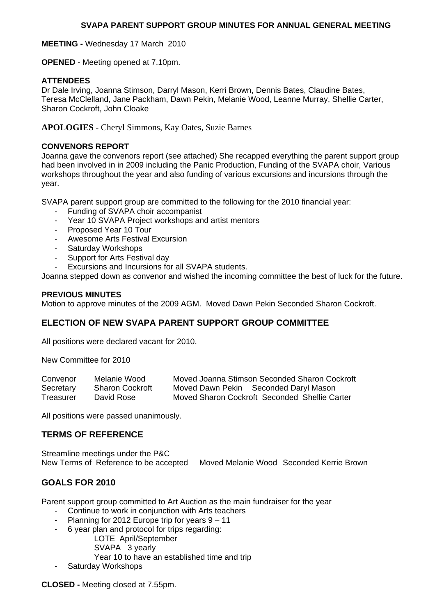### **SVAPA PARENT SUPPORT GROUP MINUTES FOR ANNUAL GENERAL MEETING**

**MEETING -** Wednesday 17 March 2010

**OPENED** - Meeting opened at 7.10pm.

## **ATTENDEES**

Dr Dale Irving, Joanna Stimson, Darryl Mason, Kerri Brown, Dennis Bates, Claudine Bates, Teresa McClelland, Jane Packham, Dawn Pekin, Melanie Wood, Leanne Murray, Shellie Carter, Sharon Cockroft, John Cloake

**APOLOGIES -** Cheryl Simmons, Kay Oates, Suzie Barnes

### **CONVENORS REPORT**

Joanna gave the convenors report (see attached) She recapped everything the parent support group had been involved in in 2009 including the Panic Production, Funding of the SVAPA choir, Various workshops throughout the year and also funding of various excursions and incursions through the year.

SVAPA parent support group are committed to the following for the 2010 financial year:

- Funding of SVAPA choir accompanist
- Year 10 SVAPA Project workshops and artist mentors
- Proposed Year 10 Tour
- Awesome Arts Festival Excursion
- Saturday Workshops
- Support for Arts Festival day
- Excursions and Incursions for all SVAPA students.

Joanna stepped down as convenor and wished the incoming committee the best of luck for the future.

### **PREVIOUS MINUTES**

Motion to approve minutes of the 2009 AGM. Moved Dawn Pekin Seconded Sharon Cockroft.

# **ELECTION OF NEW SVAPA PARENT SUPPORT GROUP COMMITTEE**

All positions were declared vacant for 2010.

New Committee for 2010

| Convenor  | Melanie Wood           | Moved Joanna Stimson Seconded Sharon Cockroft |
|-----------|------------------------|-----------------------------------------------|
| Secretary | <b>Sharon Cockroft</b> | Moved Dawn Pekin Seconded Daryl Mason         |
| Treasurer | David Rose             | Moved Sharon Cockroft Seconded Shellie Carter |

All positions were passed unanimously.

# **TERMS OF REFERENCE**

Streamline meetings under the P&C New Terms of Reference to be accepted Moved Melanie Wood Seconded Kerrie Brown

# **GOALS FOR 2010**

Parent support group committed to Art Auction as the main fundraiser for the year

- Continue to work in conjunction with Arts teachers
- Planning for 2012 Europe trip for years 9 11
- 6 year plan and protocol for trips regarding:
	- LOTE April/September
	- SVAPA 3 yearly
	- Year 10 to have an established time and trip
- Saturday Workshops

**CLOSED -** Meeting closed at 7.55pm.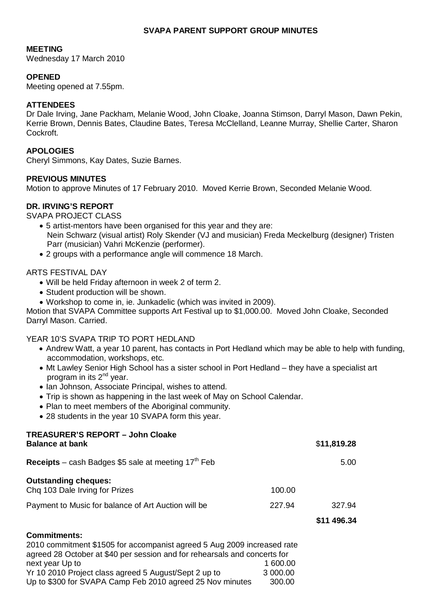# **SVAPA PARENT SUPPORT GROUP MINUTES**

### **MEETING**

Wednesday 17 March 2010

# **OPENED**

Meeting opened at 7.55pm.

## **ATTENDEES**

Dr Dale Irving, Jane Packham, Melanie Wood, John Cloake, Joanna Stimson, Darryl Mason, Dawn Pekin, Kerrie Brown, Dennis Bates, Claudine Bates, Teresa McClelland, Leanne Murray, Shellie Carter, Sharon Cockroft.

### **APOLOGIES**

Cheryl Simmons, Kay Dates, Suzie Barnes.

### **PREVIOUS MINUTES**

Motion to approve Minutes of 17 February 2010. Moved Kerrie Brown, Seconded Melanie Wood.

### **DR. IRVING'S REPORT**

SVAPA PROJECT CLASS

- 5 artist-mentors have been organised for this year and they are: Nein Schwarz (visual artist) Roly Skender (VJ and musician) Freda Meckelburg (designer) Tristen Parr (musician) Vahri McKenzie (performer).
- 2 groups with a performance angle will commence 18 March.

### ARTS FESTIVAL DAY

- Will be held Friday afternoon in week 2 of term 2.
- Student production will be shown.
- Workshop to come in, ie. Junkadelic (which was invited in 2009).

Motion that SVAPA Committee supports Art Festival up to \$1,000.00. Moved John Cloake, Seconded Darryl Mason. Carried.

### YEAR 10'S SVAPA TRIP TO PORT HEDLAND

**TREASURER'S REPORT – John Cloake** 

- Andrew Watt, a year 10 parent, has contacts in Port Hedland which may be able to help with funding, accommodation, workshops, etc.
- Mt Lawley Senior High School has a sister school in Port Hedland they have a specialist art program in its 2<sup>nd</sup> year.
- Ian Johnson, Associate Principal, wishes to attend.
- Trip is shown as happening in the last week of May on School Calendar.
- Plan to meet members of the Aboriginal community.
- 28 students in the year 10 SVAPA form this year.

| TREASURER'S REPORT - John Cloake                                                                                                                                         |          |             |
|--------------------------------------------------------------------------------------------------------------------------------------------------------------------------|----------|-------------|
| <b>Balance at bank</b>                                                                                                                                                   |          | \$11,819.28 |
| <b>Receipts</b> – cash Badges \$5 sale at meeting $17th$ Feb                                                                                                             | 5.00     |             |
| <b>Outstanding cheques:</b><br>Chq 103 Dale Irving for Prizes                                                                                                            | 100.00   |             |
|                                                                                                                                                                          |          |             |
| Payment to Music for balance of Art Auction will be                                                                                                                      | 227.94   | 327.94      |
|                                                                                                                                                                          |          | \$11 496.34 |
| <b>Commitments:</b>                                                                                                                                                      |          |             |
| 2010 commitment \$1505 for accompanist agreed 5 Aug 2009 increased rate<br>agreed 28 October at \$40 per session and for rehearsals and concerts for<br>novt voor Lin to | 1.800.00 |             |

next year Up to 1 600.00 Yr 10 2010 Project class agreed 5 August/Sept 2 up to 3 000.00 Up to \$300 for SVAPA Camp Feb 2010 agreed 25 Nov minutes 300.00